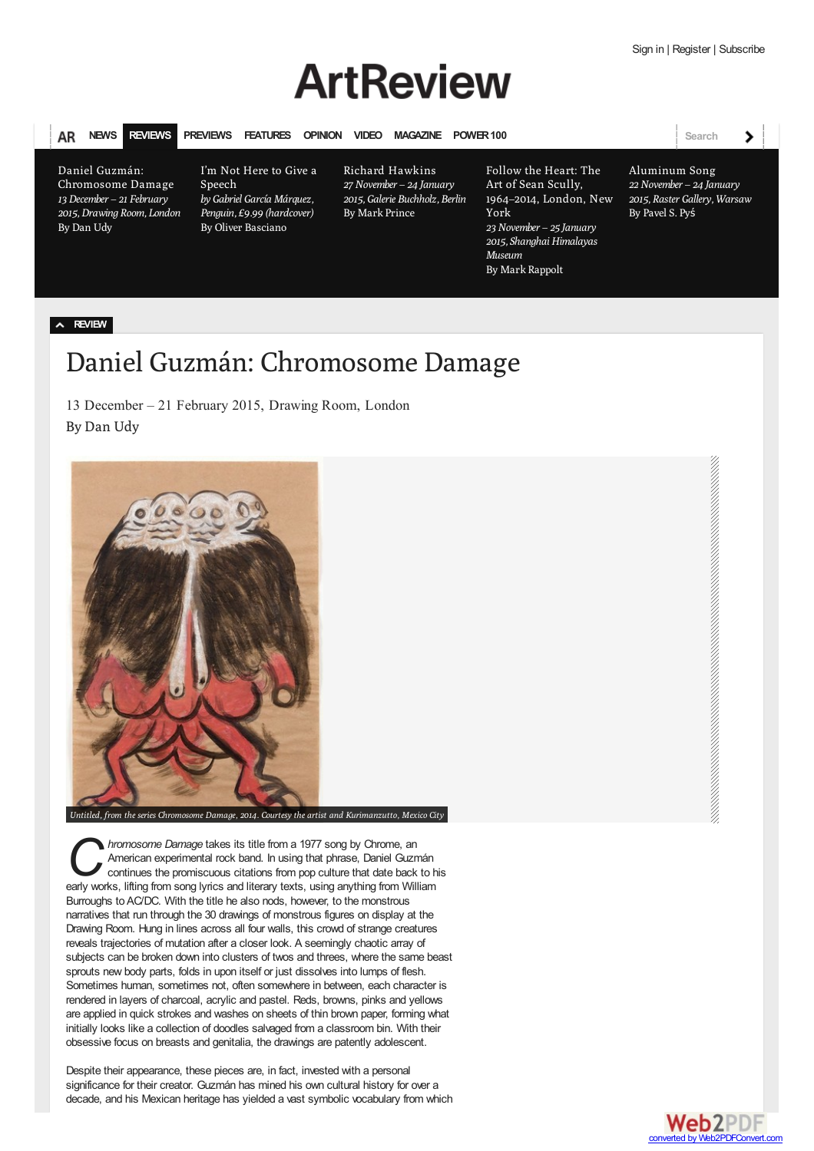# **ArtReview**

#### <span id="page-0-0"></span>**[NEWS](http://artreview.com/news/) [REVIEWS](http://artreview.com/reviews/) [PREVIEWS](http://artreview.com/previews/) [FEATURES](http://artreview.com/features/) [OPINION](http://artreview.com/opinion/) [VIDEO](http://artreview.com/video/) [MAGAZINE](http://artreview.com/magazine/) [POWER100](http://artreview.com/power_100/) Search AR** Daniel Guzmán: I'm Not Here to Give a Richard [Hawkins](http://artreview.com/reviews/march_2015_review_richard_hawkins/) Follow the Heart: The [Aluminum](http://artreview.com/reviews/march_2015_review_aluminium_song/) Song *22 November – 24 January* [Chromosome](#page-0-0) Damage Speech *27 November – 24 January* Art of Sean Scully, *13 December – 21 February by Gabriel García Márquez, 2015, Galerie Buchholz, Berlin* [1964–2014,](http://artreview.com/reviews/march_2015_review_sean_scully/) London, New *2015, Raster Gallery, Warsaw 2015, Drawing Room, London Penguin, £9.99 [\(hardcover\)](http://artreview.com/reviews/march_2015_book_im_not_here_to_give_a_speech/)* York By Mark Prince By Pavel S. Pyś By Dan Udy By Oliver Basciano *23 November – 25 January*

*2015, Shanghai Himalayas*

*Museum* By Mark Rappolt

### **[REVIEW](http://artreview.com/reviews/)**

## Daniel Guzmán: Chromosome Damage

13 December – 21 February 2015, Drawing Room, London By Dan Udy



*C Chromosome Damage* takes its title from a 1977 song by Chrome, an<br>
continues the promiscuous citations from pop culture that date back to his<br>
early works, lifting from song lyrics and literary texts, using anything f *hromosome Damage* takes its title from a 1977 song by Chrome, an American experimental rock band. In using that phrase, Daniel Guzmán continues the promiscuous citations from pop culture that date back to his Burroughs to AC/DC. With the title he also nods, however, to the monstrous narratives that run through the 30 drawings of monstrous figures on display at the Drawing Room. Hung in lines across all four walls, this crowd of strange creatures reveals trajectories of mutation after a closer look. A seemingly chaotic array of subjects can be broken down into clusters of twos and threes, where the same beast sprouts new body parts, folds in upon itself or just dissolves into lumps of flesh. Sometimes human, sometimes not, often somewhere in between, each character is rendered in layers of charcoal, acrylic and pastel. Reds, browns, pinks and yellows are applied in quick strokes and washes on sheets of thin brown paper, forming what initially looks like a collection of doodles salvaged from a classroom bin. With their obsessive focus on breasts and genitalia, the drawings are patently adolescent.

Despite their appearance, these pieces are, in fact, invested with a personal significance for their creator. Guzmán has mined his own cultural history for over a decade, and his Mexican heritage has yielded a vast symbolic vocabulary from which